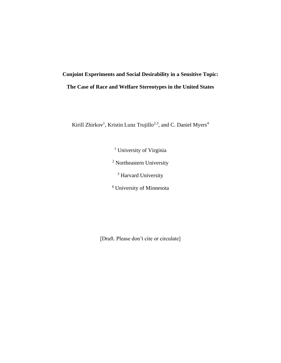# **Conjoint Experiments and Social Desirability in a Sensitive Topic: The Case of Race and Welfare Stereotypes in the United States**

Kirill Zhirkov<sup>1</sup>, Kristin Lunz Trujillo<sup>2,3</sup>, and C. Daniel Myers<sup>4</sup>

<sup>1</sup> University of Virginia <sup>2</sup> Northeastern University <sup>3</sup> Harvard University

<sup>4</sup> University of Minnesota

[Draft. Please don't cite or circulate]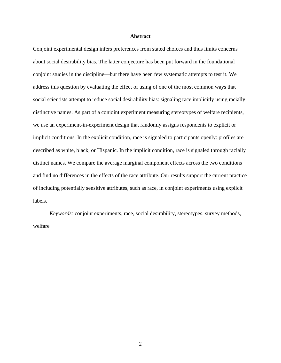#### **Abstract**

Conjoint experimental design infers preferences from stated choices and thus limits concerns about social desirability bias. The latter conjecture has been put forward in the foundational conjoint studies in the discipline—but there have been few systematic attempts to test it. We address this question by evaluating the effect of using of one of the most common ways that social scientists attempt to reduce social desirability bias: signaling race implicitly using racially distinctive names. As part of a conjoint experiment measuring stereotypes of welfare recipients, we use an experiment-in-experiment design that randomly assigns respondents to explicit or implicit conditions. In the explicit condition, race is signaled to participants openly: profiles are described as white, black, or Hispanic. In the implicit condition, race is signaled through racially distinct names. We compare the average marginal component effects across the two conditions and find no differences in the effects of the race attribute. Our results support the current practice of including potentially sensitive attributes, such as race, in conjoint experiments using explicit labels.

*Keywords:* conjoint experiments, race, social desirability, stereotypes, survey methods, welfare

2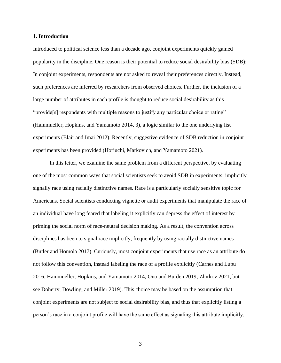#### **1. Introduction**

Introduced to political science less than a decade ago, conjoint experiments quickly gained popularity in the discipline. One reason is their potential to reduce social desirability bias (SDB): In conjoint experiments, respondents are not asked to reveal their preferences directly. Instead, such preferences are inferred by researchers from observed choices. Further, the inclusion of a large number of attributes in each profile is thought to reduce social desirability as this "provide<sup>[s]</sup> respondents with multiple reasons to justify any particular choice or rating" (Hainmueller, Hopkins, and Yamamoto 2014, 3), a logic similar to the one underlying list experiments (Blair and Imai 2012). Recently, suggestive evidence of SDB reduction in conjoint experiments has been provided (Horiuchi, Markovich, and Yamamoto 2021).

In this letter, we examine the same problem from a different perspective, by evaluating one of the most common ways that social scientists seek to avoid SDB in experiments: implicitly signally race using racially distinctive names. Race is a particularly socially sensitive topic for Americans. Social scientists conducting vignette or audit experiments that manipulate the race of an individual have long feared that labeling it explicitly can depress the effect of interest by priming the social norm of race-neutral decision making. As a result, the convention across disciplines has been to signal race implicitly, frequently by using racially distinctive names (Butler and Homola 2017). Curiously, most conjoint experiments that use race as an attribute do not follow this convention, instead labeling the race of a profile explicitly (Carnes and Lupu 2016; Hainmueller, Hopkins, and Yamamoto 2014; Ono and Burden 2019; Zhirkov 2021; but see Doherty, Dowling, and Miller 2019). This choice may be based on the assumption that conjoint experiments are not subject to social desirability bias, and thus that explicitly listing a person's race in a conjoint profile will have the same effect as signaling this attribute implicitly.

3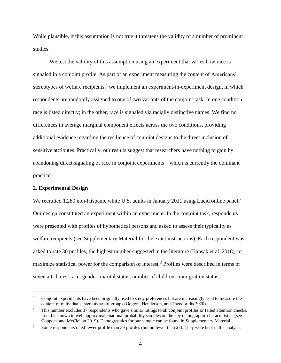While plausible, if this assumption is not true it threatens the validity of a number of prominent studies.

We test the validity of this assumption using an experiment that varies how race is signaled in a conjoint profile. As part of an experiment measuring the content of Americans' stereotypes of welfare recipients, $<sup>1</sup>$  we implement an experiment-in-experiment design, in which</sup> respondents are randomly assigned to one of two variants of the conjoint task. In one condition, race is listed directly; in the other, race is signaled via racially distinctive names. We find no differences in average marginal component effects across the two conditions, providing additional evidence regarding the resilience of conjoint designs to the direct inclusion of sensitive attributes. Practically, our results suggest that researchers have nothing to gain by abandoning direct signaling of race in conjoint experiments—which is currently the dominant practice.

#### **2. Experimental Design**

We recruited 1,280 non-Hispanic white U.S. adults in January 2021 using Lucid online panel.<sup>2</sup> Our design constituted an experiment within an experiment. In the conjoint task, respondents were presented with profiles of hypothetical persons and asked to assess their typicality as welfare recipients (see Supplementary Material for the exact instructions). Each respondent was asked to rate 30 profiles, the highest number suggested in the literature (Bansak et al. 2018), to maximize statistical power for the comparison of interest.<sup>3</sup> Profiles were described in terms of seven attributes: race, gender, marital status, number of children, immigration status,

<sup>&</sup>lt;sup>1</sup> Conjoint experiments have been originally used to study preferences but are increasingly used to measure the content of individuals' stereotypes of groups (Goggin, Henderson, and Theodoridis 2020).

 $2^2$  This number excludes 37 respondents who gave similar ratings to all conjoint profiles or failed attention checks. Lucid is known to well approximate national probability samples on the key demographic characteristics (see Coppock and McClellan 2019). Demographics for our sample can be found in Supplementary Material.

<sup>&</sup>lt;sup>3</sup> Some respondents rated fewer profile than 30 profiles (but no fewer than 27). They were kept in the analysis.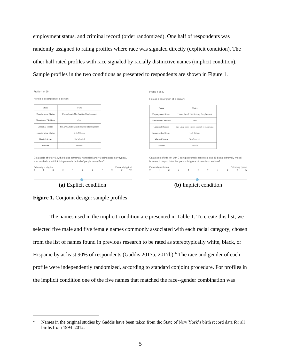employment status, and criminal record (order randomized). One half of respondents was randomly assigned to rating profiles where race was signaled directly (explicit condition). The other half rated profiles with race signaled by racially distinctive names (implicit condition). Sample profiles in the two conditions as presented to respondents are shown in Figure 1.



**Figure 1.** Conjoint design: sample profiles

The names used in the implicit condition are presented in Table 1. To create this list, we selected five male and five female names commonly associated with each racial category, chosen from the list of names found in previous research to be rated as stereotypically white, black, or Hispanic by at least 90% of respondents (Gaddis 2017a, 2017b).<sup>4</sup> The race and gender of each profile were independently randomized, according to standard conjoint procedure. For profiles in the implicit condition one of the five names that matched the race--gender combination was

<sup>&</sup>lt;sup>4</sup> Names in the original studies by Gaddis have been taken from the State of New York's birth record data for all births from 1994–2012.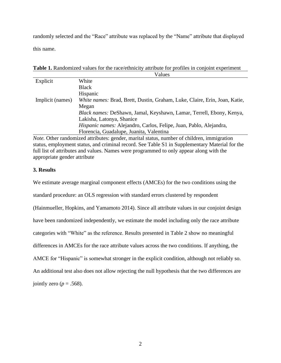randomly selected and the "Race" attribute was replaced by the "Name" attribute that displayed this name.

**Table 1.** Randomized values for the race/ethnicity attribute for profiles in conjoint experiment

|                  | Values                                                                     |
|------------------|----------------------------------------------------------------------------|
| Explicit         | White                                                                      |
|                  | <b>Black</b>                                                               |
|                  | Hispanic                                                                   |
| Implicit (names) | White names: Brad, Brett, Dustin, Graham, Luke, Claire, Erin, Joan, Katie, |
|                  | Megan                                                                      |
|                  | Black names: DeShawn, Jamal, Keyshawn, Lamar, Terrell, Ebony, Kenya,       |
|                  | Lakisha, Latonya, Shanice                                                  |
|                  | Hispanic names: Alejandro, Carlos, Felipe, Juan, Pablo, Alejandra,         |
|                  | Florencia, Guadalupe, Juanita, Valentina                                   |

*Note.* Other randomized attributes: gender, marital status, number of children, immigration status, employment status, and criminal record. See Table S1 in Supplementary Material for the full list of attributes and values. Names were programmed to only appear along with the appropriate gender attribute

# **3. Results**

We estimate average marginal component effects (AMCEs) for the two conditions using the standard procedure: an OLS regression with standard errors clustered by respondent (Hainmueller, Hopkins, and Yamamoto 2014). Since all attribute values in our conjoint design have been randomized independently, we estimate the model including only the race attribute categories with "White" as the reference. Results presented in Table 2 show no meaningful differences in AMCEs for the race attribute values across the two conditions. If anything, the AMCE for "Hispanic" is somewhat stronger in the explicit condition, although not reliably so. An additional test also does not allow rejecting the null hypothesis that the two differences are jointly zero ( $p = .568$ ).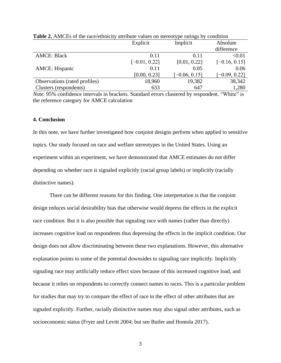|                               | Explicit        | Implicit        | Absolute        |
|-------------------------------|-----------------|-----------------|-----------------|
|                               |                 |                 | difference      |
| <b>AMCE: Black</b>            | 0.11            | 0.11            | < 0.01          |
|                               | $[-0.01, 0.22]$ | [0.01, 0.22]    | $[-0.16, 0.15]$ |
| <b>AMCE:</b> Hispanic         | 0.11            | 0.05            | 0.06            |
|                               | [0.00, 0.23]    | $[-0.06, 0.15]$ | $[-0.09, 0.22]$ |
| Observations (rated profiles) | 18,960          | 19,382          | 38,342          |
| Clusters (respondents)        | 633             | 647             | 1,280           |

**Table 2.** AMCEs of the race/ethnicity attribute values on stereotype ratings by condition

*Note.* 95% confidence intervals in brackets. Standard errors clustered by respondent. "White" is the reference category for AMCE calculation

#### **4. Conclusion**

In this note, we have further investigated how conjoint designs perform when applied to sensitive topics. Our study focused on race and welfare stereotypes in the United States. Using an experiment within an experiment, we have demonstrated that AMCE estimates do not differ depending on whether race is signaled explicitly (racial group labels) or implicitly (racially distinctive names).

There can be different reasons for this finding. One interpretation is that the conjoint design reduces social desirability bias that otherwise would depress the effects in the explicit race condition. But it is also possible that signaling race with names (rather than directly) increases cognitive load on respondents thus depressing the effects in the implicit condition. Our design does not allow discriminating between these two explanations. However, this alternative explanation points to some of the potential downsides to signaling race implicitly. Implicitly signaling race may artificially reduce effect sizes because of this increased cognitive load, and because it relies on respondents to correctly connect names to races. This is a particular problem for studies that may try to compare the effect of race to the effect of other attributes that are signaled explicitly. Further, racially distinctive names may also signal other attributes, such as socioeconomic status (Fryer and Levitt 2004; but see Butler and Homola 2017).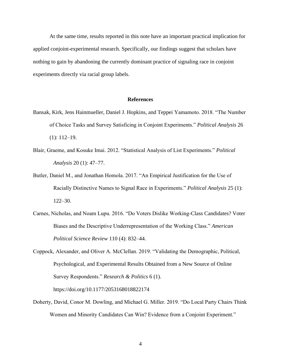At the same time, results reported in this note have an important practical implication for applied conjoint-experimental research. Specifically, our findings suggest that scholars have nothing to gain by abandoning the currently dominant practice of signaling race in conjoint experiments directly via racial group labels.

#### **References**

- Bansak, Kirk, Jens Hainmueller, Daniel J. Hopkins, and Teppei Yamamoto. 2018. "The Number of Choice Tasks and Survey Satisficing in Conjoint Experiments." *Political Analysis* 26 (1): 112–19.
- Blair, Graeme, and Kosuke Imai. 2012. "Statistical Analysis of List Experiments." *Political Analysis* 20 (1): 47–77.
- Butler, Daniel M., and Jonathan Homola. 2017. "An Empirical Justification for the Use of Racially Distinctive Names to Signal Race in Experiments." *Political Analysis* 25 (1): 122–30.
- Carnes, Nicholas, and Noam Lupu. 2016. "Do Voters Dislike Working-Class Candidates? Voter Biases and the Descriptive Underrepresentation of the Working Class." *American Political Science Review* 110 (4): 832–44.
- Coppock, Alexander, and Oliver A. McClellan. 2019. "Validating the Demographic, Political, Psychological, and Experimental Results Obtained from a New Source of Online Survey Respondents." *Research & Politics* 6 (1).

<https://doi.org/10.1177/2053168018822174>

Doherty, David, Conor M. Dowling, and Michael G. Miller. 2019. "Do Local Party Chairs Think Women and Minority Candidates Can Win? Evidence from a Conjoint Experiment."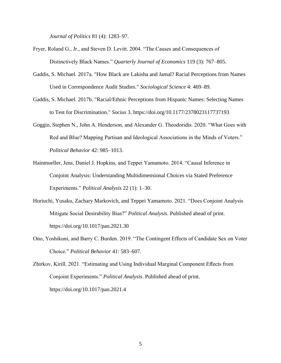*Journal of Politics* 81 (4): 1283–97.

- Fryer, Roland G., Jr., and Steven D. Levitt. 2004. "The Causes and Consequences of Distinctively Black Names." *Quarterly Journal of Economics* 119 (3): 767–805.
- Gaddis, S. Michael. 2017a. "How Black are Lakisha and Jamal? Racial Perceptions from Names Used in Correspondence Audit Studies." *Sociological Science* 4: 469–89.
- Gaddis, S. Michael. 2017b. "Racial/Ethnic Perceptions from Hispanic Names: Selecting Names to Test for Discrimination." *Socius* 3. https://doi.org/10.1177/2378023117737193
- Goggin, Stephen N., John A. Henderson, and Alexander G. Theodoridis. 2020. "What Goes with Red and Blue? Mapping Partisan and Ideological Associations in the Minds of Voters." *Political Behavior* 42: 985–1013.
- Hainmueller, Jens, Daniel J. Hopkins, and Teppei Yamamoto. 2014. "Causal Inference in Conjoint Analysis: Understanding Multidimensional Choices via Stated Preference Experiments." *Political Analysis* 22 (1): 1–30.
- Horiuchi, Yusaku, Zachary Markovich, and Teppei Yamamoto. 2021. "Does Conjoint Analysis Mitigate Social Desirability Bias?" *Political Analysis*. Published ahead of print. https://doi.org/10.1017/pan.2021.30
- Ono, Yoshikuni, and Barry C. Burden. 2019. "The Contingent Effects of Candidate Sex on Voter Choice." *Political Behavior* 41: 583–607.
- Zhirkov, Kirill. 2021. "Estimating and Using Individual Marginal Component Effects from Conjoint Experiments." *Political Analysis*. Published ahead of print. https://doi.org/10.1017/pan.2021.4